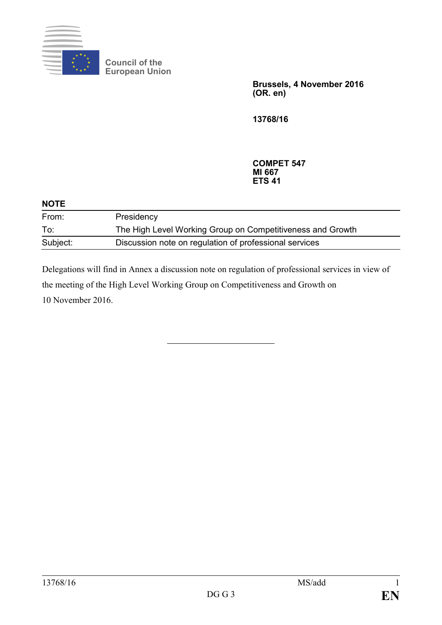

**Council of the European Union**

> **Brussels, 4 November 2016 (OR. en)**

**13768/16**

**COMPET 547 MI 667 ETS 41**

| <b>NOTE</b> |                                                            |
|-------------|------------------------------------------------------------|
| From:       | Presidency                                                 |
| To:         | The High Level Working Group on Competitiveness and Growth |
| Subject:    | Discussion note on regulation of professional services     |

Delegations will find in Annex a discussion note on regulation of professional services in view of the meeting of the High Level Working Group on Competitiveness and Growth on 10 November 2016.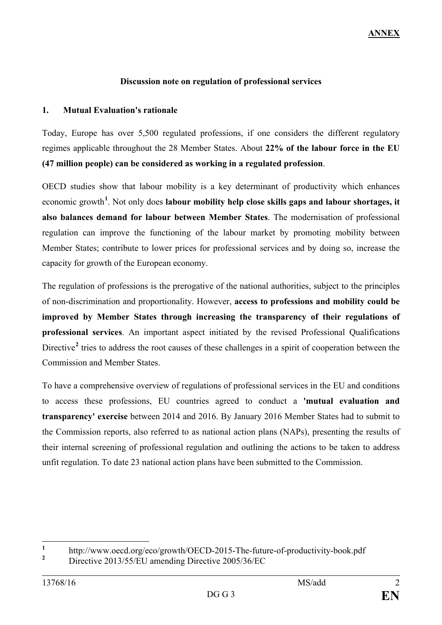## **Discussion note on regulation of professional services**

## **1. Mutual Evaluation's rationale**

Today, Europe has over 5,500 regulated professions, if one considers the different regulatory regimes applicable throughout the 28 Member States. About **22% of the labour force in the EU (47 million people) can be considered as working in a regulated profession**.

OECD studies show that labour mobility is a key determinant of productivity which enhances economic growth<sup>[1](#page-1-0)</sup>. Not only does l**abour mobility help close skills gaps and labour shortages, it also balances demand for labour between Member States**. The modernisation of professional regulation can improve the functioning of the labour market by promoting mobility between Member States; contribute to lower prices for professional services and by doing so, increase the capacity for growth of the European economy.

The regulation of professions is the prerogative of the national authorities, subject to the principles of non-discrimination and proportionality. However, **access to professions and mobility could be improved by Member States through increasing the transparency of their regulations of professional services**. An important aspect initiated by the revised Professional Qualifications Directive<sup>[2](#page-1-1)</sup> tries to address the root causes of these challenges in a spirit of cooperation between the Commission and Member States.

To have a comprehensive overview of regulations of professional services in the EU and conditions to access these professions, EU countries agreed to conduct a **'mutual evaluation and transparency' exercise** between 2014 and 2016. By January 2016 Member States had to submit to the Commission reports, also referred to as national action plans (NAPs), presenting the results of their internal screening of professional regulation and outlining the actions to be taken to address unfit regulation. To date 23 national action plans have been submitted to the Commission.

<span id="page-1-1"></span><span id="page-1-0"></span><sup>&</sup>lt;sup>1</sup> http://www.oecd.org/eco/growth/OECD-2015-The-future-of-productivity-book.pdf **<sup>2</sup>** Directive 2013/55/EU amending Directive 2005/36/EC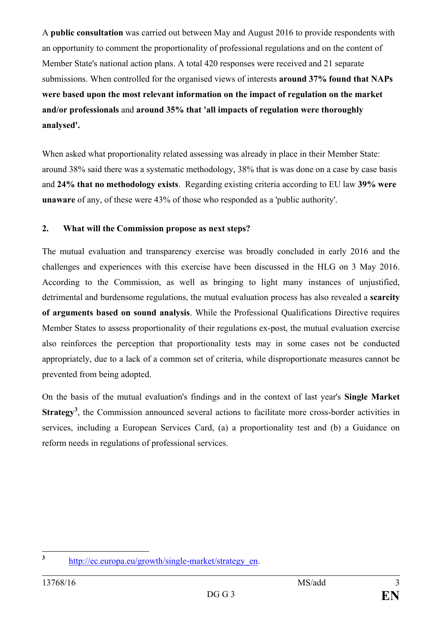A **public consultation** was carried out between May and August 2016 to provide respondents with an opportunity to comment the proportionality of professional regulations and on the content of Member State's national action plans. A total 420 responses were received and 21 separate submissions. When controlled for the organised views of interests **around 37% found that NAPs were based upon the most relevant information on the impact of regulation on the market and/or professionals** and **around 35% that 'all impacts of regulation were thoroughly analysed'.**

When asked what proportionality related assessing was already in place in their Member State: around 38% said there was a systematic methodology, 38% that is was done on a case by case basis and **24% that no methodology exists**. Regarding existing criteria according to EU law **39% were unaware** of any, of these were 43% of those who responded as a 'public authority'.

## **2. What will the Commission propose as next steps?**

The mutual evaluation and transparency exercise was broadly concluded in early 2016 and the challenges and experiences with this exercise have been discussed in the HLG on 3 May 2016. According to the Commission, as well as bringing to light many instances of unjustified, detrimental and burdensome regulations, the mutual evaluation process has also revealed a **scarcity of arguments based on sound analysis**. While the Professional Qualifications Directive requires Member States to assess proportionality of their regulations ex-post, the mutual evaluation exercise also reinforces the perception that proportionality tests may in some cases not be conducted appropriately, due to a lack of a common set of criteria, while disproportionate measures cannot be prevented from being adopted.

On the basis of the mutual evaluation's findings and in the context of last year's **Single Market**  Strategy<sup>[3](#page-2-0)</sup>, the Commission announced several actions to facilitate more cross-border activities in services, including a European Services Card, (a) a proportionality test and (b) a Guidance on reform needs in regulations of professional services.

<span id="page-2-0"></span>

**<sup>3</sup>** [http://ec.europa.eu/growth/single-market/strategy\\_en.](http://ec.europa.eu/growth/single-market/strategy_en)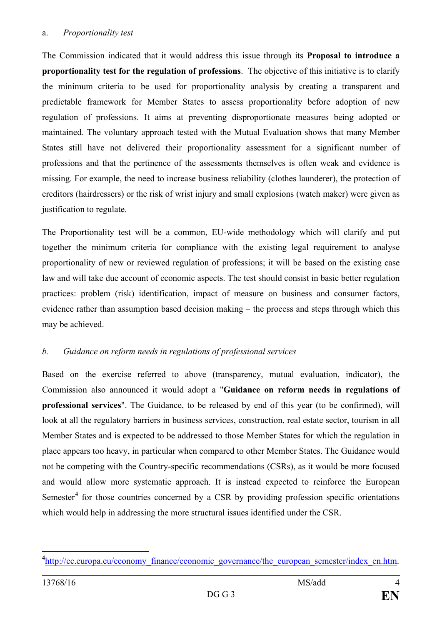#### a. *Proportionality test*

The Commission indicated that it would address this issue through its **Proposal to introduce a proportionality test for the regulation of professions**. The objective of this initiative is to clarify the minimum criteria to be used for proportionality analysis by creating a transparent and predictable framework for Member States to assess proportionality before adoption of new regulation of professions. It aims at preventing disproportionate measures being adopted or maintained. The voluntary approach tested with the Mutual Evaluation shows that many Member States still have not delivered their proportionality assessment for a significant number of professions and that the pertinence of the assessments themselves is often weak and evidence is missing. For example, the need to increase business reliability (clothes launderer), the protection of creditors (hairdressers) or the risk of wrist injury and small explosions (watch maker) were given as justification to regulate.

The Proportionality test will be a common, EU-wide methodology which will clarify and put together the minimum criteria for compliance with the existing legal requirement to analyse proportionality of new or reviewed regulation of professions; it will be based on the existing case law and will take due account of economic aspects. The test should consist in basic better regulation practices: problem (risk) identification, impact of measure on business and consumer factors, evidence rather than assumption based decision making – the process and steps through which this may be achieved.

# *b. Guidance on reform needs in regulations of professional services*

Based on the exercise referred to above (transparency, mutual evaluation, indicator), the Commission also announced it would adopt a "**Guidance on reform needs in regulations of professional services**". The Guidance, to be released by end of this year (to be confirmed), will look at all the regulatory barriers in business services, construction, real estate sector, tourism in all Member States and is expected to be addressed to those Member States for which the regulation in place appears too heavy, in particular when compared to other Member States. The Guidance would not be competing with the Country-specific recommendations (CSRs), as it would be more focused and would allow more systematic approach. It is instead expected to reinforce the European Semester<sup>[4](#page-3-0)</sup> for those countries concerned by a CSR by providing profession specific orientations which would help in addressing the more structural issues identified under the CSR.

<span id="page-3-0"></span>**4** [http://ec.europa.eu/economy\\_finance/economic\\_governance/the\\_european\\_semester/index\\_en.htm.](http://ec.europa.eu/economy_finance/economic_governance/the_european_semester/index_en.htm)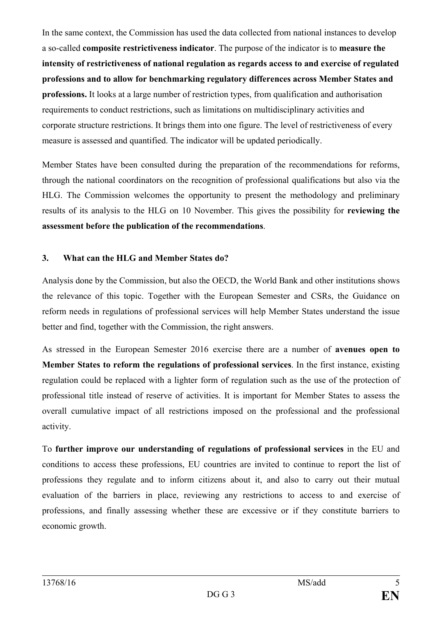In the same context, the Commission has used the data collected from national instances to develop a so-called **composite restrictiveness indicator**. The purpose of the indicator is to **measure the intensity of restrictiveness of national regulation as regards access to and exercise of regulated professions and to allow for benchmarking regulatory differences across Member States and professions.** It looks at a large number of restriction types, from qualification and authorisation requirements to conduct restrictions, such as limitations on multidisciplinary activities and corporate structure restrictions. It brings them into one figure. The level of restrictiveness of every measure is assessed and quantified. The indicator will be updated periodically.

Member States have been consulted during the preparation of the recommendations for reforms, through the national coordinators on the recognition of professional qualifications but also via the HLG. The Commission welcomes the opportunity to present the methodology and preliminary results of its analysis to the HLG on 10 November. This gives the possibility for **reviewing the assessment before the publication of the recommendations**.

## **3. What can the HLG and Member States do?**

Analysis done by the Commission, but also the OECD, the World Bank and other institutions shows the relevance of this topic. Together with the European Semester and CSRs, the Guidance on reform needs in regulations of professional services will help Member States understand the issue better and find, together with the Commission, the right answers.

As stressed in the European Semester 2016 exercise there are a number of **avenues open to Member States to reform the regulations of professional services**. In the first instance, existing regulation could be replaced with a lighter form of regulation such as the use of the protection of professional title instead of reserve of activities. It is important for Member States to assess the overall cumulative impact of all restrictions imposed on the professional and the professional activity.

To **further improve our understanding of regulations of professional services** in the EU and conditions to access these professions, EU countries are invited to continue to report the list of professions they regulate and to inform citizens about it, and also to carry out their mutual evaluation of the barriers in place, reviewing any restrictions to access to and exercise of professions, and finally assessing whether these are excessive or if they constitute barriers to economic growth.